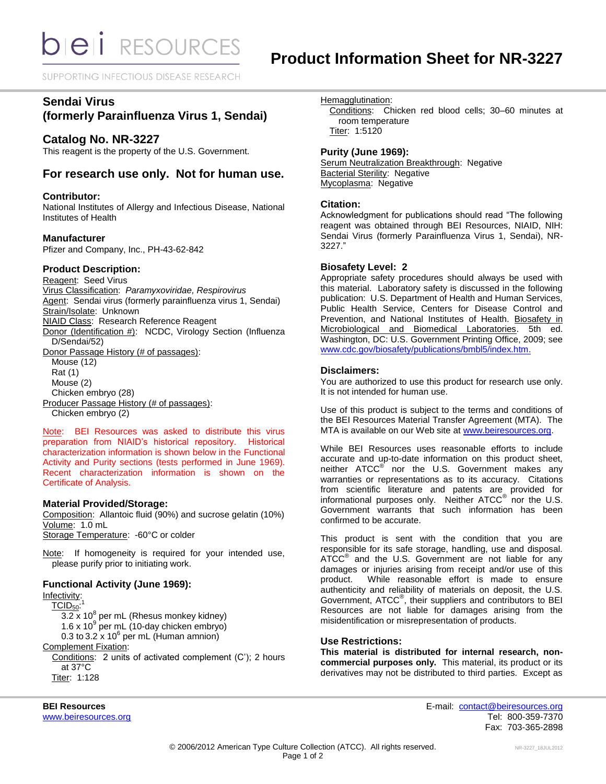SUPPORTING INFECTIOUS DISEASE RESEARCH

# **Sendai Virus**

# **(formerly Parainfluenza Virus 1, Sendai)**

# **Catalog No. NR-3227**

This reagent is the property of the U.S. Government.

# **For research use only. Not for human use.**

## **Contributor:**

National Institutes of Allergy and Infectious Disease, National Institutes of Health

### **Manufacturer**

Pfizer and Company, Inc., PH-43-62-842

### **Product Description:**

Reagent: Seed Virus Virus Classification: *Paramyxoviridae, Respirovirus* Agent: Sendai virus (formerly parainfluenza virus 1, Sendai) Strain/Isolate: Unknown NIAID Class: Research Reference Reagent Donor (Identification #): NCDC, Virology Section (Influenza D/Sendai/52) Donor Passage History (# of passages): Mouse (12) Rat (1) Mouse (2) Chicken embryo (28) Producer Passage History (# of passages):

Chicken embryo (2)

Note: BEI Resources was asked to distribute this virus preparation from NIAID's historical repository. Historical characterization information is shown below in the Functional Activity and Purity sections (tests performed in June 1969). Recent characterization information is shown on the Certificate of Analysis.

## **Material Provided/Storage:**

Composition: Allantoic fluid (90%) and sucrose gelatin (10%) Volume: 1.0 mL Storage Temperature: -60°C or colder

Note: If homogeneity is required for your intended use, please purify prior to initiating work.

## **Functional Activity (June 1969):**

Infectivity:  $TCID<sub>50</sub>$ : 1  $\overline{3.2 \times 10^8}$  per mL (Rhesus monkey kidney) 1.6 x 10 $^9$  per mL (10-day chicken embryo) 0.3 to 3.2  $\times$  10<sup>6</sup> per mL (Human amnion) Complement Fixation: Conditions: 2 units of activated complement (C'); 2 hours at 37°C Titer: 1:128

Hemagglutination:

Conditions: Chicken red blood cells; 30–60 minutes at room temperature Titer: 1:5120

# **Purity (June 1969):**

**Serum Neutralization Breakthrough: Negative Bacterial Sterility: Negative** Mycoplasma: Negative

### **Citation:**

Acknowledgment for publications should read "The following reagent was obtained through BEI Resources, NIAID, NIH: Sendai Virus (formerly Parainfluenza Virus 1, Sendai), NR-3227."

### **Biosafety Level: 2**

Appropriate safety procedures should always be used with this material. Laboratory safety is discussed in the following publication: U.S. Department of Health and Human Services, Public Health Service, Centers for Disease Control and Prevention, and National Institutes of Health. Biosafety in Microbiological and Biomedical Laboratories. 5th ed. Washington, DC: U.S. Government Printing Office, 2009; see [www.cdc.gov/biosafety/publications/bmbl5/index.htm.](http://www.cdc.gov/biosafety/publications/bmbl5/index.htm)

## **Disclaimers:**

You are authorized to use this product for research use only. It is not intended for human use.

Use of this product is subject to the terms and conditions of the BEI Resources Material Transfer Agreement (MTA). The MTA is available on our Web site at [www.beiresources.org.](http://www.beiresources.org/)

While BEI Resources uses reasonable efforts to include accurate and up-to-date information on this product sheet, neither ATCC<sup>®</sup> nor the U.S. Government makes any warranties or representations as to its accuracy. Citations from scientific literature and patents are provided for informational purposes only. Neither ATCC<sup>®</sup> nor the U.S. Government warrants that such information has been confirmed to be accurate.

This product is sent with the condition that you are responsible for its safe storage, handling, use and disposal. ATCC<sup>®</sup> and the U.S. Government are not liable for any damages or injuries arising from receipt and/or use of this product. While reasonable effort is made to ensure authenticity and reliability of materials on deposit, the U.S. Government, ATCC<sup>®</sup>, their suppliers and contributors to BEI Resources are not liable for damages arising from the misidentification or misrepresentation of products.

#### **Use Restrictions:**

**This material is distributed for internal research, noncommercial purposes only.** This material, its product or its derivatives may not be distributed to third parties. Except as

**BEI Resources** E-mail: [contact@beiresources.org](mailto:contact@beiresources.org) [www.beiresources.org](http://www.beiresources.org/) **Tel: 800-359-7370** Fax: 703-365-2898